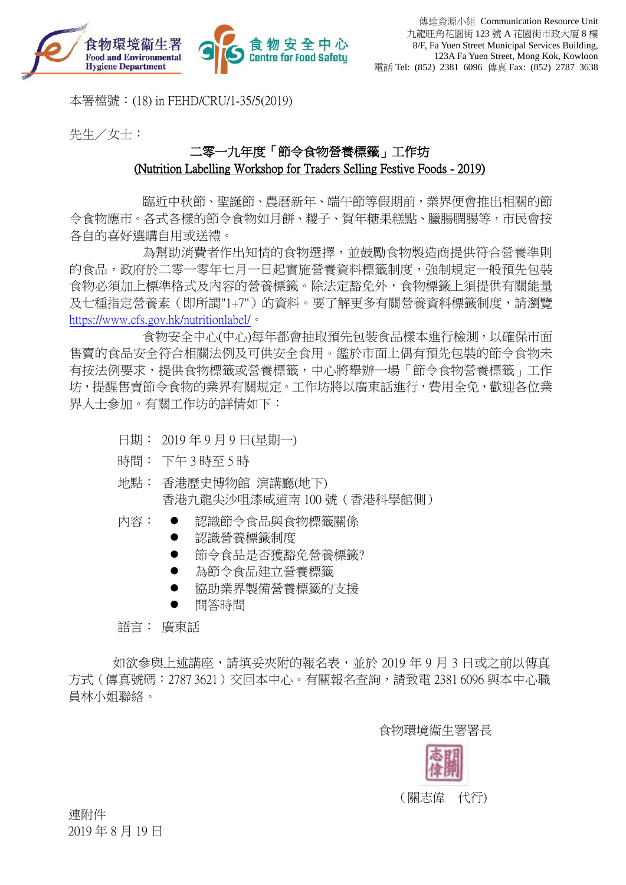

本署檔號:(18) in FEHD/CRU/1-35/5(2019)

先生/女士:

# 二零一九年度「節令食物營養標籤」工作坊 (Nutrition Labelling Workshop for Traders Selling Festive Foods - 2019)

臨近中秋節、聖誕節、農曆新年、端午節等假期前,業界便會推出相關的節 令食物應市。各式各樣的節令食物如月餅、糉子、賀年糖果糕點、臘腸膶腸等,市民會按 各自的喜好選購自用或送禮。

為幫助消費者作出知情的食物選擇,並鼓勵食物製造商提供符合營養準則 的食品,政府於二零一零年七月一日起實施營養資料標籤制度,強制規定一般預先包裝 食物必須加上標準格式及內容的營養標籤。除法定豁免外,食物標籤上須提供有關能量 及七種指定營養素(即所謂"1+7")的資料。要了解更多有關營養資料標籤制度,請瀏覽 <https://www.cfs.gov.hk/nutritionlabel/>。

食物安全中心(中心)每年都會抽取預先包裝食品樣本進行檢測,以確保市面 售賣的食品安全符合相關法例及可供安全食用。鑑於市面上偶有預先包裝的節令食物未 有按法例要求,提供食物標籤或營養標籤,中心將舉辦一場「節令食物營養標籤」工作 坊,提醒售賣節令食物的業界有關規定。工作坊將以廣東話進行,費用全免,歡迎各位業 界人士參加。有關工作坊的詳情如下:

- 日期: 2019 年 9 月 9 日(星期一)
- 時間: 下午 3 時至 5 時
- 地點: 香港歷史博物館 演講廳(地下) 香港九龍尖沙咀漆咸道南 100 號(香港科學館側)
- 内容: 認識節令食品與食物標籤關係
	- 認識營養標籤制度
	- 節令食品是否獲豁免營養標籤?
	- 為節令食品建立營養標籤
	- 協助業界製備營養標籤的支援
	- 問答時間

語言: 廣東話

如欲參與上述講座,請填妥夾附的報名表,並於 2019 年 9 月 3 日或之前以傳真 方式(傳真號碼:2787 3621)交回本中心。有關報名查詢,請致電 2381 6096 與本中心職 員林小姐聯絡。

食物環境衞生署署長



連附件 2019 年 8 月 19 日